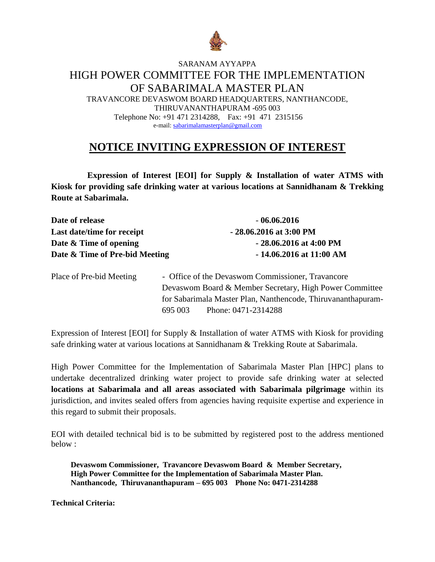

# SARANAM AYYAPPA HIGH POWER COMMITTEE FOR THE IMPLEMENTATION OF SABARIMALA MASTER PLAN

TRAVANCORE DEVASWOM BOARD HEADQUARTERS, NANTHANCODE, THIRUVANANTHAPURAM -695 003 Telephone No: +91 471 2314288, Fax: +91 471 2315156 e-mail[: sabarimalamasterplan@gmail.com](mailto:sabarimalamasterplan@gmail.com)

# **NOTICE INVITING EXPRESSION OF INTEREST**

 **Expression of Interest [EOI] for Supply & Installation of water ATMS with Kiosk for providing safe drinking water at various locations at Sannidhanam & Trekking Route at Sabarimala.**

| Date of release                | $-06.06.2016$               |
|--------------------------------|-----------------------------|
| Last date/time for receipt     | $-28.06.2016$ at 3:00 PM    |
| Date $\&$ Time of opening      | $-28.06.2016$ at 4:00 PM    |
| Date & Time of Pre-bid Meeting | $-14.06.2016$ at $11:00$ AM |

| Place of Pre-bid Meeting |         | - Office of the Devaswom Commissioner, Travancore            |
|--------------------------|---------|--------------------------------------------------------------|
|                          |         | Devaswom Board & Member Secretary, High Power Committee      |
|                          |         | for Sabarimala Master Plan, Nanthencode, Thiruvananthapuram- |
|                          | 695.003 | Phone: 0471-2314288                                          |

Expression of Interest [EOI] for Supply & Installation of water ATMS with Kiosk for providing safe drinking water at various locations at Sannidhanam & Trekking Route at Sabarimala.

High Power Committee for the Implementation of Sabarimala Master Plan [HPC] plans to undertake decentralized drinking water project to provide safe drinking water at selected **locations at Sabarimala and all areas associated with Sabarimala pilgrimage** within its jurisdiction, and invites sealed offers from agencies having requisite expertise and experience in this regard to submit their proposals.

EOI with detailed technical bid is to be submitted by registered post to the address mentioned below :

**Devaswom Commissioner, Travancore Devaswom Board & Member Secretary, High Power Committee for the Implementation of Sabarimala Master Plan. Nanthancode, Thiruvananthapuram – 695 003 Phone No: 0471-2314288**

**Technical Criteria:**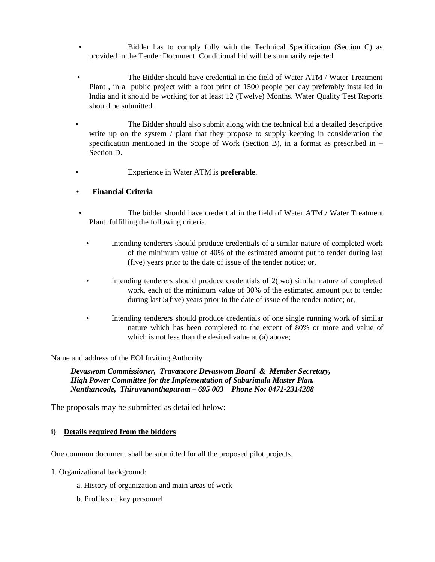- Bidder has to comply fully with the Technical Specification (Section C) as provided in the Tender Document. Conditional bid will be summarily rejected.
- The Bidder should have credential in the field of Water ATM / Water Treatment Plant , in a public project with a foot print of 1500 people per day preferably installed in India and it should be working for at least 12 (Twelve) Months. Water Quality Test Reports should be submitted.
- The Bidder should also submit along with the technical bid a detailed descriptive write up on the system / plant that they propose to supply keeping in consideration the specification mentioned in the Scope of Work (Section B), in a format as prescribed in – Section D.
	- Experience in Water ATM is **preferable**.

#### • **Financial Criteria**

- The bidder should have credential in the field of Water ATM / Water Treatment Plant fulfilling the following criteria.
	- Intending tenderers should produce credentials of a similar nature of completed work of the minimum value of 40% of the estimated amount put to tender during last (five) years prior to the date of issue of the tender notice; or,
	- Intending tenderers should produce credentials of 2(two) similar nature of completed work, each of the minimum value of 30% of the estimated amount put to tender during last 5(five) years prior to the date of issue of the tender notice; or,
	- Intending tenderers should produce credentials of one single running work of similar nature which has been completed to the extent of 80% or more and value of which is not less than the desired value at (a) above:

Name and address of the EOI Inviting Authority

*Devaswom Commissioner, Travancore Devaswom Board & Member Secretary, High Power Committee for the Implementation of Sabarimala Master Plan. Nanthancode, Thiruvananthapuram – 695 003 Phone No: 0471-2314288*

The proposals may be submitted as detailed below:

#### **i) Details required from the bidders**

One common document shall be submitted for all the proposed pilot projects.

- 1. Organizational background:
	- a. History of organization and main areas of work
	- b. Profiles of key personnel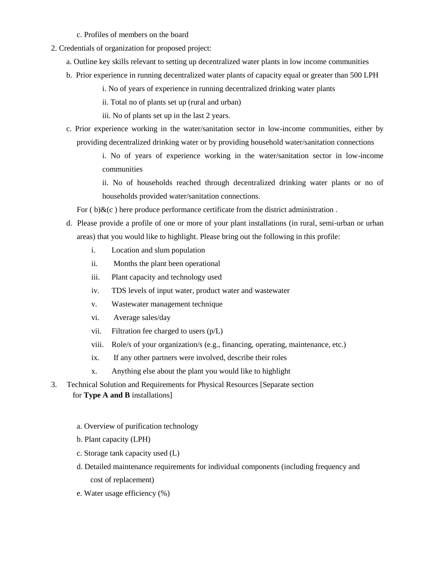- c. Profiles of members on the board
- 2. Credentials of organization for proposed project:
	- a. Outline key skills relevant to setting up decentralized water plants in low income communities
	- b. Prior experience in running decentralized water plants of capacity equal or greater than 500 LPH
		- i. No of years of experience in running decentralized drinking water plants
		- ii. Total no of plants set up (rural and urban)
		- iii. No of plants set up in the last 2 years.
	- c. Prior experience working in the water/sanitation sector in low-income communities, either by providing decentralized drinking water or by providing household water/sanitation connections

i. No of years of experience working in the water/sanitation sector in low-income communities

ii. No of households reached through decentralized drinking water plants or no of households provided water/sanitation connections.

For  $(b)$ & $(c)$  here produce performance certificate from the district administration.

- d. Please provide a profile of one or more of your plant installations (in rural, semi-urban or urban areas) that you would like to highlight. Please bring out the following in this profile:
	- i. Location and slum population
	- ii. Months the plant been operational
	- iii. Plant capacity and technology used
	- iv. TDS levels of input water, product water and wastewater
	- v. Wastewater management technique
	- vi. Average sales/day
	- vii. Filtration fee charged to users (p/L)
	- viii. Role/s of your organization/s (e.g., financing, operating, maintenance, etc.)
	- ix. If any other partners were involved, describe their roles
	- x. Anything else about the plant you would like to highlight
- 3. Technical Solution and Requirements for Physical Resources [Separate section for **Type A and B** installations]
	- a. Overview of purification technology
	- b. Plant capacity (LPH)
	- c. Storage tank capacity used (L)
	- d. Detailed maintenance requirements for individual components (including frequency and cost of replacement)
	- e. Water usage efficiency (%)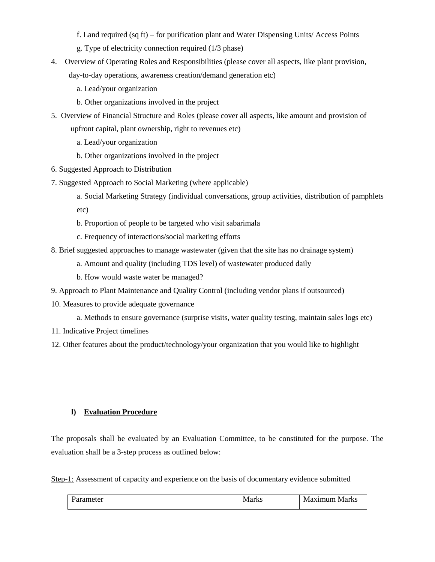- f. Land required (sq ft) for purification plant and Water Dispensing Units/ Access Points
- g. Type of electricity connection required (1/3 phase)
- 4. Overview of Operating Roles and Responsibilities (please cover all aspects, like plant provision, day-to-day operations, awareness creation/demand generation etc)
	- a. Lead/your organization
	- b. Other organizations involved in the project
- 5. Overview of Financial Structure and Roles (please cover all aspects, like amount and provision of upfront capital, plant ownership, right to revenues etc)
	- a. Lead/your organization
	- b. Other organizations involved in the project
- 6. Suggested Approach to Distribution
- 7. Suggested Approach to Social Marketing (where applicable)
	- a. Social Marketing Strategy (individual conversations, group activities, distribution of pamphlets etc)
	- b. Proportion of people to be targeted who visit sabarimala
	- c. Frequency of interactions/social marketing efforts
- 8. Brief suggested approaches to manage wastewater (given that the site has no drainage system)
	- a. Amount and quality (including TDS level) of wastewater produced daily
	- b. How would waste water be managed?
- 9. Approach to Plant Maintenance and Quality Control (including vendor plans if outsourced)
- 10. Measures to provide adequate governance
	- a. Methods to ensure governance (surprise visits, water quality testing, maintain sales logs etc)
- 11. Indicative Project timelines
- 12. Other features about the product/technology/your organization that you would like to highlight

## **l) Evaluation Procedure**

The proposals shall be evaluated by an Evaluation Committee, to be constituted for the purpose. The evaluation shall be a 3-step process as outlined below:

Step-1: Assessment of capacity and experience on the basis of documentary evidence submitted

| rameter | Marks | aximiim<br>Marks<br>$\bf W$ |
|---------|-------|-----------------------------|
|         |       |                             |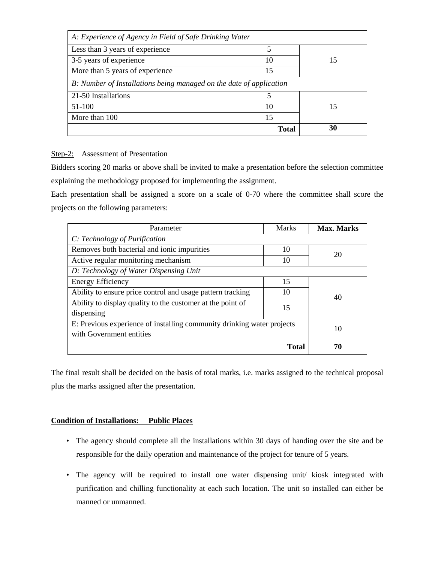| A: Experience of Agency in Field of Safe Drinking Water             |       |    |  |  |
|---------------------------------------------------------------------|-------|----|--|--|
| Less than 3 years of experience                                     | 5     |    |  |  |
| 3-5 years of experience                                             | 10    | 15 |  |  |
| More than 5 years of experience                                     | 15    |    |  |  |
| B: Number of Installations being managed on the date of application |       |    |  |  |
| 21-50 Installations                                                 |       |    |  |  |
| 51-100                                                              | 10    | 15 |  |  |
| More than 100                                                       | 15    |    |  |  |
|                                                                     | Total | 30 |  |  |

#### Step-2: Assessment of Presentation

Bidders scoring 20 marks or above shall be invited to make a presentation before the selection committee explaining the methodology proposed for implementing the assignment.

Each presentation shall be assigned a score on a scale of 0-70 where the committee shall score the projects on the following parameters:

| Parameter                                                              | Marks        | <b>Max. Marks</b> |
|------------------------------------------------------------------------|--------------|-------------------|
| C: Technology of Purification                                          |              |                   |
| Removes both bacterial and ionic impurities                            | 10           | 20                |
| Active regular monitoring mechanism                                    | 10           |                   |
| D: Technology of Water Dispensing Unit                                 |              |                   |
| <b>Energy Efficiency</b>                                               | 15           |                   |
| Ability to ensure price control and usage pattern tracking             | 10           | 40                |
| Ability to display quality to the customer at the point of             | 15           |                   |
| dispensing                                                             |              |                   |
| E: Previous experience of installing community drinking water projects | 10           |                   |
| with Government entities                                               |              |                   |
|                                                                        | <b>Total</b> | 70                |

The final result shall be decided on the basis of total marks, i.e. marks assigned to the technical proposal plus the marks assigned after the presentation.

#### **Condition of Installations: Public Places**

- The agency should complete all the installations within 30 days of handing over the site and be responsible for the daily operation and maintenance of the project for tenure of 5 years.
- The agency will be required to install one water dispensing unit/ kiosk integrated with purification and chilling functionality at each such location. The unit so installed can either be manned or unmanned.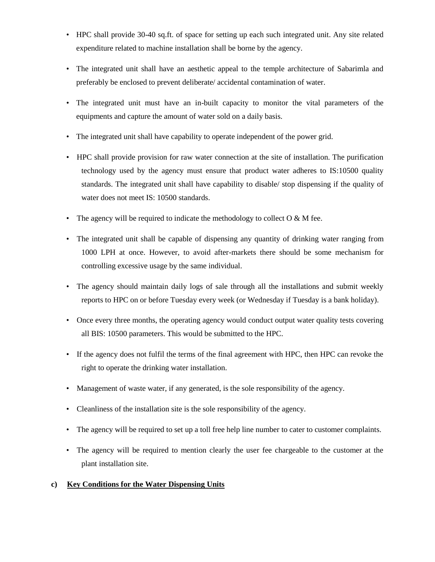- HPC shall provide 30-40 sq.ft. of space for setting up each such integrated unit. Any site related expenditure related to machine installation shall be borne by the agency.
- The integrated unit shall have an aesthetic appeal to the temple architecture of Sabarimla and preferably be enclosed to prevent deliberate/ accidental contamination of water.
- The integrated unit must have an in-built capacity to monitor the vital parameters of the equipments and capture the amount of water sold on a daily basis.
- The integrated unit shall have capability to operate independent of the power grid.
- HPC shall provide provision for raw water connection at the site of installation. The purification technology used by the agency must ensure that product water adheres to IS:10500 quality standards. The integrated unit shall have capability to disable/ stop dispensing if the quality of water does not meet IS: 10500 standards.
- The agency will be required to indicate the methodology to collect  $O & M$  fee.
- The integrated unit shall be capable of dispensing any quantity of drinking water ranging from 1000 LPH at once. However, to avoid after-markets there should be some mechanism for controlling excessive usage by the same individual.
- The agency should maintain daily logs of sale through all the installations and submit weekly reports to HPC on or before Tuesday every week (or Wednesday if Tuesday is a bank holiday).
- Once every three months, the operating agency would conduct output water quality tests covering all BIS: 10500 parameters. This would be submitted to the HPC.
- If the agency does not fulfil the terms of the final agreement with HPC, then HPC can revoke the right to operate the drinking water installation.
- Management of waste water, if any generated, is the sole responsibility of the agency.
- Cleanliness of the installation site is the sole responsibility of the agency.
- The agency will be required to set up a toll free help line number to cater to customer complaints.
- The agency will be required to mention clearly the user fee chargeable to the customer at the plant installation site.

## **c) Key Conditions for the Water Dispensing Units**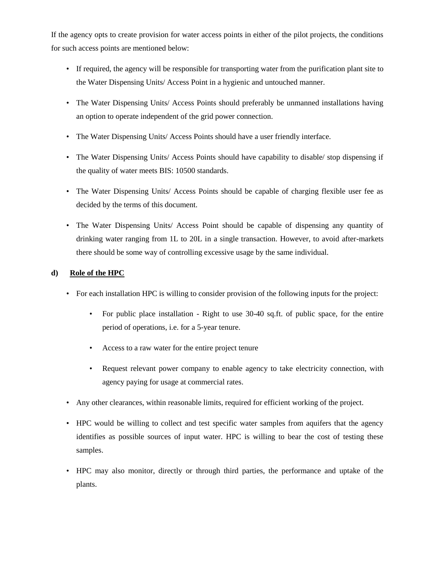If the agency opts to create provision for water access points in either of the pilot projects, the conditions for such access points are mentioned below:

- If required, the agency will be responsible for transporting water from the purification plant site to the Water Dispensing Units/ Access Point in a hygienic and untouched manner.
- The Water Dispensing Units/ Access Points should preferably be unmanned installations having an option to operate independent of the grid power connection.
- The Water Dispensing Units/ Access Points should have a user friendly interface.
- The Water Dispensing Units/ Access Points should have capability to disable/ stop dispensing if the quality of water meets BIS: 10500 standards.
- The Water Dispensing Units/ Access Points should be capable of charging flexible user fee as decided by the terms of this document.
- The Water Dispensing Units/ Access Point should be capable of dispensing any quantity of drinking water ranging from 1L to 20L in a single transaction. However, to avoid after-markets there should be some way of controlling excessive usage by the same individual.

## **d) Role of the HPC**

- For each installation HPC is willing to consider provision of the following inputs for the project:
	- For public place installation Right to use 30-40 sq.ft. of public space, for the entire period of operations, i.e. for a 5-year tenure.
	- Access to a raw water for the entire project tenure
	- Request relevant power company to enable agency to take electricity connection, with agency paying for usage at commercial rates.
- Any other clearances, within reasonable limits, required for efficient working of the project.
- HPC would be willing to collect and test specific water samples from aquifers that the agency identifies as possible sources of input water. HPC is willing to bear the cost of testing these samples.
- HPC may also monitor, directly or through third parties, the performance and uptake of the plants.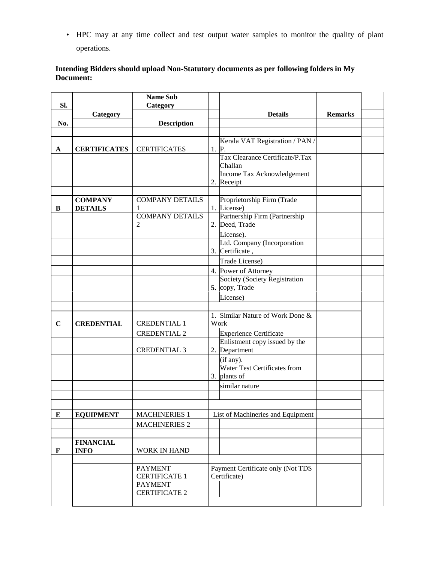• HPC may at any time collect and test output water samples to monitor the quality of plant operations.

# **Intending Bidders should upload Non-Statutory documents as per following folders in My Document:**

| Sl.         |                                  | <b>Name Sub</b><br>Category |                                                 |                |  |
|-------------|----------------------------------|-----------------------------|-------------------------------------------------|----------------|--|
|             | Category                         |                             | <b>Details</b>                                  | <b>Remarks</b> |  |
| No.         |                                  | <b>Description</b>          |                                                 |                |  |
|             |                                  |                             |                                                 |                |  |
|             |                                  |                             | Kerala VAT Registration / PAN /                 |                |  |
| A           | <b>CERTIFICATES</b>              | <b>CERTIFICATES</b>         | $1.$ P.<br>Tax Clearance Certificate/P.Tax      |                |  |
|             |                                  |                             | Challan                                         |                |  |
|             |                                  |                             | Income Tax Acknowledgement                      |                |  |
|             |                                  |                             | 2. Receipt                                      |                |  |
|             |                                  |                             |                                                 |                |  |
| B           | <b>COMPANY</b><br><b>DETAILS</b> | <b>COMPANY DETAILS</b><br>1 | Proprietorship Firm (Trade<br>1. License)       |                |  |
|             |                                  | <b>COMPANY DETAILS</b>      | Partnership Firm (Partnership                   |                |  |
|             |                                  | 2                           | 2. Deed, Trade                                  |                |  |
|             |                                  |                             | License).                                       |                |  |
|             |                                  |                             | Ltd. Company (Incorporation                     |                |  |
|             |                                  |                             | 3. Certificate,                                 |                |  |
|             |                                  |                             | Trade License)                                  |                |  |
|             |                                  |                             | 4. Power of Attorney                            |                |  |
|             |                                  |                             | Society (Society Registration<br>5. copy, Trade |                |  |
|             |                                  |                             | License)                                        |                |  |
|             |                                  |                             |                                                 |                |  |
|             |                                  |                             | 1. Similar Nature of Work Done &                |                |  |
| $\mathbf C$ | <b>CREDENTIAL</b>                | <b>CREDENTIAL 1</b>         | Work                                            |                |  |
|             |                                  | <b>CREDENTIAL 2</b>         | <b>Experience Certificate</b>                   |                |  |
|             |                                  |                             | Enlistment copy issued by the                   |                |  |
|             |                                  | <b>CREDENTIAL 3</b>         | 2. Department                                   |                |  |
|             |                                  |                             | (if any).<br>Water Test Certificates from       |                |  |
|             |                                  |                             | 3. plants of                                    |                |  |
|             |                                  |                             | similar nature                                  |                |  |
|             |                                  |                             |                                                 |                |  |
|             |                                  |                             |                                                 |                |  |
| ${\bf E}$   | <b>EQUIPMENT</b>                 | <b>MACHINERIES 1</b>        | List of Machineries and Equipment               |                |  |
|             |                                  | <b>MACHINERIES 2</b>        |                                                 |                |  |
|             |                                  |                             |                                                 |                |  |
|             | <b>FINANCIAL</b>                 |                             |                                                 |                |  |
| F           | <b>INFO</b>                      | WORK IN HAND                |                                                 |                |  |
|             |                                  | <b>PAYMENT</b>              | Payment Certificate only (Not TDS               |                |  |
|             |                                  | <b>CERTIFICATE 1</b>        | Certificate)                                    |                |  |
|             |                                  | <b>PAYMENT</b>              |                                                 |                |  |
|             |                                  | <b>CERTIFICATE 2</b>        |                                                 |                |  |
|             |                                  |                             |                                                 |                |  |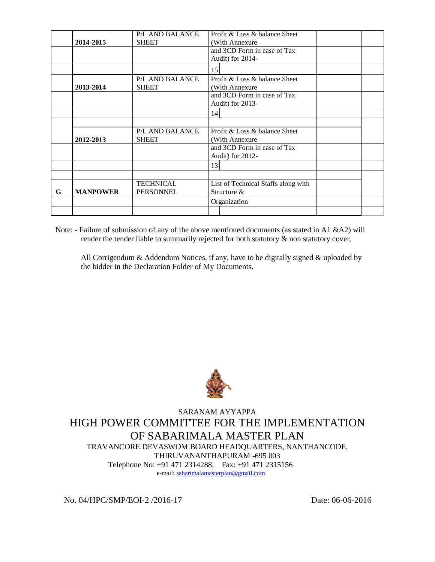|   |                 | P/L AND BALANCE  | Profit & Loss & balance Sheet       |  |  |
|---|-----------------|------------------|-------------------------------------|--|--|
|   | 2014-2015       | <b>SHEET</b>     | (With Annexure)                     |  |  |
|   |                 |                  | and 3CD Form in case of Tax         |  |  |
|   |                 |                  | Audit) for 2014-                    |  |  |
|   |                 |                  | 15                                  |  |  |
|   |                 | P/L AND BALANCE  | Profit & Loss & balance Sheet       |  |  |
|   | 2013-2014       | <b>SHEET</b>     | (With Annexure)                     |  |  |
|   |                 |                  | and 3CD Form in case of Tax         |  |  |
|   |                 |                  | Audit) for 2013-                    |  |  |
|   |                 |                  | 14                                  |  |  |
|   |                 |                  |                                     |  |  |
|   |                 | P/L AND BALANCE  | Profit & Loss & balance Sheet       |  |  |
|   | 2012-2013       | <b>SHEET</b>     | (With Annexure)                     |  |  |
|   |                 |                  | and 3CD Form in case of Tax         |  |  |
|   |                 |                  | Audit) for 2012-                    |  |  |
|   |                 |                  | 13                                  |  |  |
|   |                 |                  |                                     |  |  |
|   |                 | <b>TECHNICAL</b> | List of Technical Staffs along with |  |  |
| G | <b>MANPOWER</b> | <b>PERSONNEL</b> | Structure &                         |  |  |
|   |                 |                  | Organization                        |  |  |
|   |                 |                  |                                     |  |  |

Note: - Failure of submission of any of the above mentioned documents (as stated in A1 &A2) will render the tender liable to summarily rejected for both statutory & non statutory cover.

All Corrigendum & Addendum Notices, if any, have to be digitally signed & uploaded by the bidder in the Declaration Folder of My Documents.



SARANAM AYYAPPA HIGH POWER COMMITTEE FOR THE IMPLEMENTATION OF SABARIMALA MASTER PLAN TRAVANCORE DEVASWOM BOARD HEADQUARTERS, NANTHANCODE, THIRUVANANTHAPURAM -695 003 Telephone No: +91 471 2314288, Fax: +91 471 2315156 e-mail[: sabarimalamasterplan@gmail.com](mailto:sabarimalamasterplan@gmail.com)

No. 04/HPC/SMP/EOI-2 /2016-17 Date: 06-06-2016